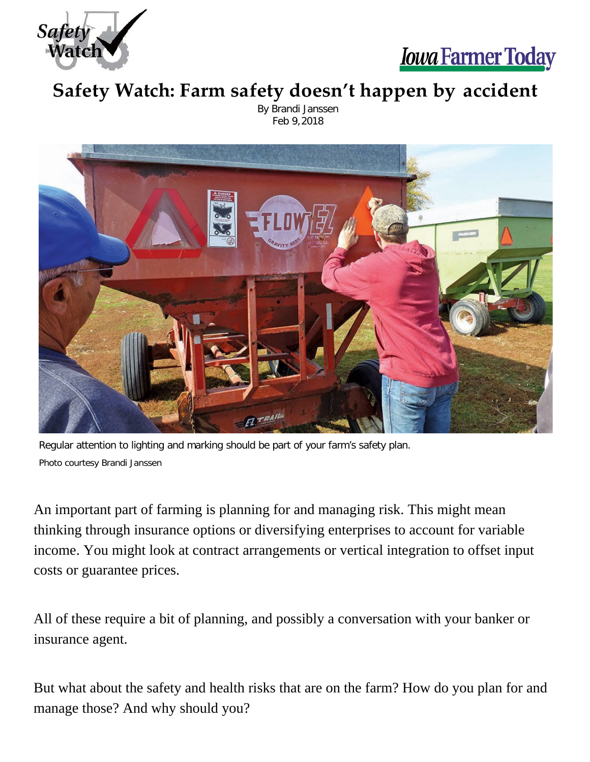



## **Safety Watch: Farm safety doesn't happen by accident**

By Brandi Janssen Feb 9,2018



Regular attention to lighting and marking should be part of your farm's safety plan. Photo courtesy Brandi Janssen

An important part of farming is planning for and managing risk. This might mean thinking through insurance options or diversifying enterprises to account for variable income. You might look at contract arrangements or vertical integration to offset input costs or guarantee prices.

All of these require a bit of planning, and possibly a conversation with your banker or insurance agent.

But what about the safety and health risks that are on the farm? How do you plan for and manage those? And why should you?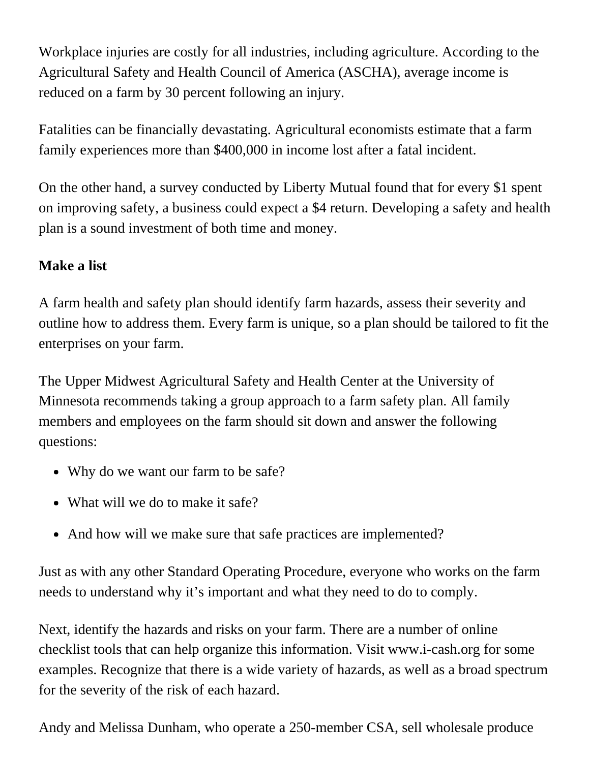Workplace injuries are costly for all industries, including agriculture. According to the Agricultural Safety and Health Council of America (ASCHA), average income is reduced on a farm by 30 percent following an injury.

Fatalities can be financially devastating. Agricultural economists estimate that a farm family experiences more than \$400,000 in income lost after a fatal incident.

On the other hand, a survey conducted by Liberty Mutual found that for every \$1 spent on improving safety, a business could expect a \$4 return. Developing a safety and health plan is a sound investment of both time and money.

## **Make a list**

A farm health and safety plan should identify farm hazards, assess their severity and outline how to address them. Every farm is unique, so a plan should be tailored to fit the enterprises on your farm.

The Upper Midwest Agricultural Safety and Health Center at the University of Minnesota recommends taking a group approach to a farm safety plan. All family members and employees on the farm should sit down and answer the following questions:

- Why do we want our farm to be safe?
- What will we do to make it safe?
- And how will we make sure that safe practices are implemented?

Just as with any other Standard Operating Procedure, everyone who works on the farm needs to understand why it's important and what they need to do to comply.

Next, identify the hazards and risks on your farm. There are a number of online checklist tools that can help organize this information. Visit [www.i-cash.org](http://www.i-cash.org/) for some examples. Recognize that there is a wide variety of hazards, as well as a broad spectrum for the severity of the risk of each hazard.

Andy and Melissa Dunham, who operate a 250-member CSA, sell wholesale produce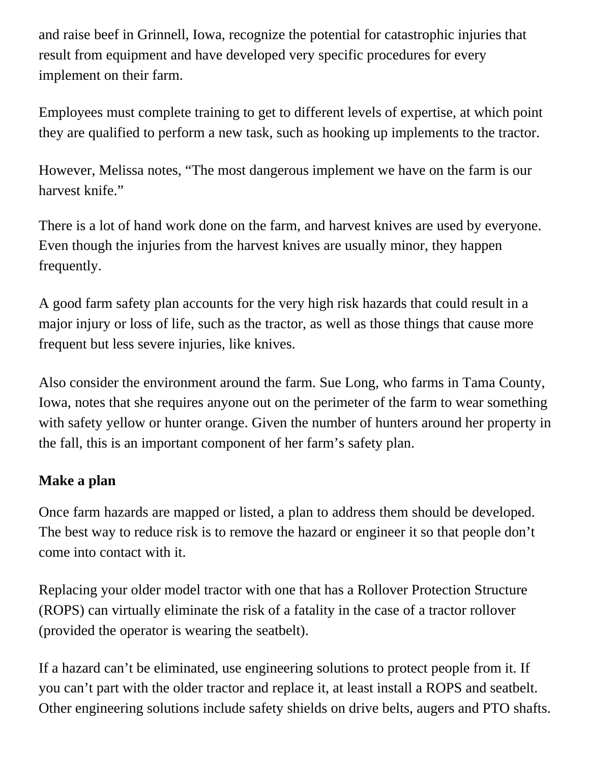and raise beef in Grinnell, Iowa, recognize the potential for catastrophic injuries that result from equipment and have developed very specific procedures for every implement on their farm.

Employees must complete training to get to different levels of expertise, at which point they are qualified to perform a new task, such as hooking up implements to the tractor.

However, Melissa notes, "The most dangerous implement we have on the farm is our harvest knife."

There is a lot of hand work done on the farm, and harvest knives are used by everyone. Even though the injuries from the harvest knives are usually minor, they happen frequently.

A good farm safety plan accounts for the very high risk hazards that could result in a major injury or loss of life, such as the tractor, as well as those things that cause more frequent but less severe injuries, like knives.

Also consider the environment around the farm. Sue Long, who farms in Tama County, Iowa, notes that she requires anyone out on the perimeter of the farm to wear something with safety yellow or hunter orange. Given the number of hunters around her property in the fall, this is an important component of her farm's safety plan.

## **Make a plan**

Once farm hazards are mapped or listed, a plan to address them should be developed. The best way to reduce risk is to remove the hazard or engineer it so that people don't come into contact with it.

Replacing your older model tractor with one that has a Rollover Protection Structure (ROPS) can virtually eliminate the risk of a fatality in the case of a tractor rollover (provided the operator is wearing the seatbelt).

If a hazard can't be eliminated, use engineering solutions to protect people from it. If you can't part with the older tractor and replace it, at least install a ROPS and seatbelt. Other engineering solutions include safety shields on drive belts, augers and PTO shafts.